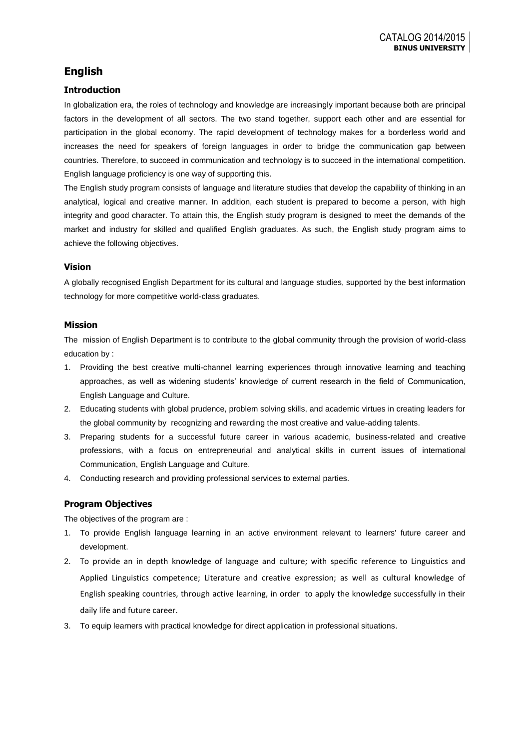# **English**

## **Introduction**

In globalization era, the roles of technology and knowledge are increasingly important because both are principal factors in the development of all sectors. The two stand together, support each other and are essential for participation in the global economy. The rapid development of technology makes for a borderless world and increases the need for speakers of foreign languages in order to bridge the communication gap between countries. Therefore, to succeed in communication and technology is to succeed in the international competition. English language proficiency is one way of supporting this.

The English study program consists of language and literature studies that develop the capability of thinking in an analytical, logical and creative manner. In addition, each student is prepared to become a person, with high integrity and good character. To attain this, the English study program is designed to meet the demands of the market and industry for skilled and qualified English graduates. As such, the English study program aims to achieve the following objectives.

### **Vision**

A globally recognised English Department for its cultural and language studies, supported by the best information technology for more competitive world-class graduates.

### **Mission**

The mission of English Department is to contribute to the global community through the provision of world-class education by :

- 1. Providing the best creative multi-channel learning experiences through innovative learning and teaching approaches, as well as widening students' knowledge of current research in the field of Communication, English Language and Culture.
- 2. Educating students with global prudence, problem solving skills, and academic virtues in creating leaders for the global community by recognizing and rewarding the most creative and value-adding talents.
- 3. Preparing students for a successful future career in various academic, business-related and creative professions, with a focus on entrepreneurial and analytical skills in current issues of international Communication, English Language and Culture.
- 4. Conducting research and providing professional services to external parties.

## **Program Objectives**

The objectives of the program are :

- 1. To provide English language learning in an active environment relevant to learners' future career and development.
- 2. To provide an in depth knowledge of language and culture; with specific reference to Linguistics and Applied Linguistics competence; Literature and creative expression; as well as cultural knowledge of English speaking countries, through active learning, in order to apply the knowledge successfully in their daily life and future career.
- 3. To equip learners with practical knowledge for direct application in professional situations.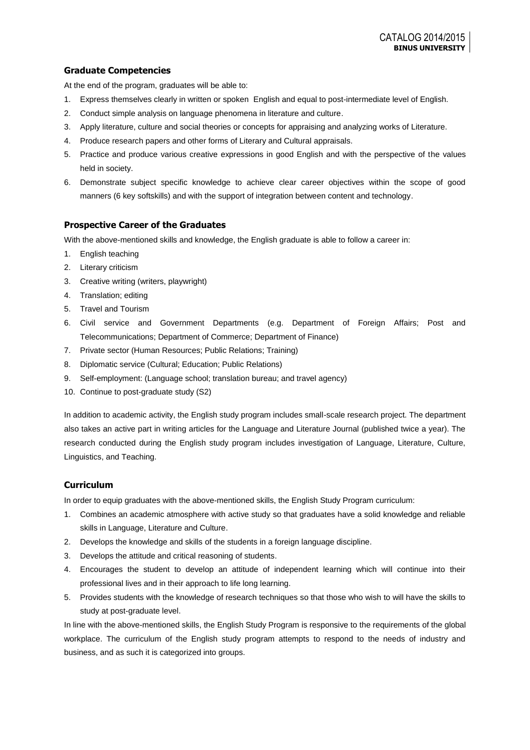## **Graduate Competencies**

At the end of the program, graduates will be able to:

- 1. Express themselves clearly in written or spoken English and equal to post-intermediate level of English.
- 2. Conduct simple analysis on language phenomena in literature and culture.
- 3. Apply literature, culture and social theories or concepts for appraising and analyzing works of Literature.
- 4. Produce research papers and other forms of Literary and Cultural appraisals.
- 5. Practice and produce various creative expressions in good English and with the perspective of the values held in society.
- 6. Demonstrate subject specific knowledge to achieve clear career objectives within the scope of good manners (6 key softskills) and with the support of integration between content and technology.

## **Prospective Career of the Graduates**

With the above-mentioned skills and knowledge, the English graduate is able to follow a career in:

- 1. English teaching
- 2. Literary criticism
- 3. Creative writing (writers, playwright)
- 4. Translation; editing
- 5. Travel and Tourism
- 6. Civil service and Government Departments (e.g. Department of Foreign Affairs; Post and Telecommunications; Department of Commerce; Department of Finance)
- 7. Private sector (Human Resources; Public Relations; Training)
- 8. Diplomatic service (Cultural; Education; Public Relations)
- 9. Self-employment: (Language school; translation bureau; and travel agency)
- 10. Continue to post-graduate study (S2)

In addition to academic activity, the English study program includes small-scale research project. The department also takes an active part in writing articles for the Language and Literature Journal (published twice a year). The research conducted during the English study program includes investigation of Language, Literature, Culture, Linguistics, and Teaching.

## **Curriculum**

In order to equip graduates with the above-mentioned skills, the English Study Program curriculum:

- 1. Combines an academic atmosphere with active study so that graduates have a solid knowledge and reliable skills in Language, Literature and Culture.
- 2. Develops the knowledge and skills of the students in a foreign language discipline.
- 3. Develops the attitude and critical reasoning of students.
- 4. Encourages the student to develop an attitude of independent learning which will continue into their professional lives and in their approach to life long learning.
- 5. Provides students with the knowledge of research techniques so that those who wish to will have the skills to study at post-graduate level.

In line with the above-mentioned skills, the English Study Program is responsive to the requirements of the global workplace. The curriculum of the English study program attempts to respond to the needs of industry and business, and as such it is categorized into groups.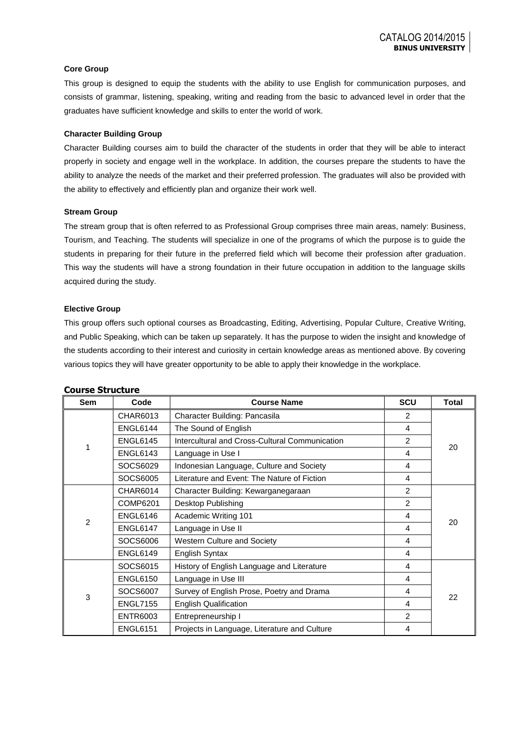#### **Core Group**

This group is designed to equip the students with the ability to use English for communication purposes, and consists of grammar, listening, speaking, writing and reading from the basic to advanced level in order that the graduates have sufficient knowledge and skills to enter the world of work.

#### **Character Building Group**

Character Building courses aim to build the character of the students in order that they will be able to interact properly in society and engage well in the workplace. In addition, the courses prepare the students to have the ability to analyze the needs of the market and their preferred profession. The graduates will also be provided with the ability to effectively and efficiently plan and organize their work well.

#### **Stream Group**

The stream group that is often referred to as Professional Group comprises three main areas, namely: Business, Tourism, and Teaching. The students will specialize in one of the programs of which the purpose is to guide the students in preparing for their future in the preferred field which will become their profession after graduation. This way the students will have a strong foundation in their future occupation in addition to the language skills acquired during the study.

#### **Elective Group**

This group offers such optional courses as Broadcasting, Editing, Advertising, Popular Culture, Creative Writing, and Public Speaking, which can be taken up separately. It has the purpose to widen the insight and knowledge of the students according to their interest and curiosity in certain knowledge areas as mentioned above. By covering various topics they will have greater opportunity to be able to apply their knowledge in the workplace.

| <b>Sem</b> | Code            | <b>Course Name</b>                             | <b>SCU</b>     | <b>Total</b> |  |
|------------|-----------------|------------------------------------------------|----------------|--------------|--|
|            | CHAR6013        | Character Building: Pancasila                  | $\overline{2}$ |              |  |
|            | <b>ENGL6144</b> | The Sound of English                           | 4              |              |  |
| 1          | <b>ENGL6145</b> | Intercultural and Cross-Cultural Communication | $\overline{c}$ | 20           |  |
|            | <b>ENGL6143</b> | Language in Use I                              | 4              |              |  |
|            | SOCS6029        | Indonesian Language, Culture and Society       | 4              |              |  |
|            | SOCS6005        | Literature and Event: The Nature of Fiction    | 4              |              |  |
|            | CHAR6014        | Character Building: Kewarganegaraan            | 2              |              |  |
|            | COMP6201        | Desktop Publishing                             | 2              |              |  |
|            | <b>ENGL6146</b> | Academic Writing 101                           | 4              | 20           |  |
| 2          | <b>ENGL6147</b> | Language in Use II                             | 4              |              |  |
|            | SOCS6006        | Western Culture and Society                    | 4              |              |  |
|            | <b>ENGL6149</b> | English Syntax                                 | 4              |              |  |
|            | SOCS6015        | History of English Language and Literature     | 4              |              |  |
|            | <b>ENGL6150</b> | Language in Use III                            | 4              |              |  |
| 3          | SOCS6007        | Survey of English Prose, Poetry and Drama      | 4              | 22           |  |
|            | <b>ENGL7155</b> | <b>English Qualification</b>                   | 4              |              |  |
|            | <b>ENTR6003</b> | Entrepreneurship I                             | $\overline{2}$ |              |  |
|            | <b>ENGL6151</b> | Projects in Language, Literature and Culture   | 4              |              |  |

#### **Course Structure**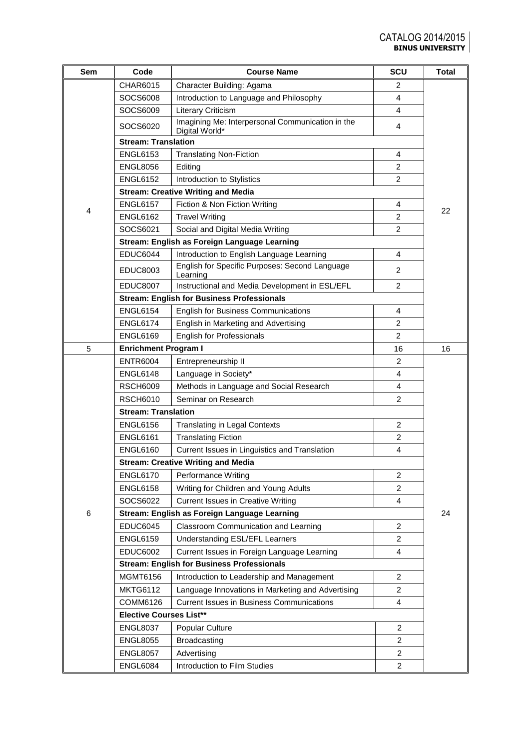| Sem | Code                                      | <b>Course Name</b>                                                 | SCU            | <b>Total</b> |  |
|-----|-------------------------------------------|--------------------------------------------------------------------|----------------|--------------|--|
|     | CHAR6015                                  | Character Building: Agama                                          | $\overline{c}$ |              |  |
|     | SOCS6008                                  | Introduction to Language and Philosophy                            | 4              |              |  |
|     | SOCS6009                                  | <b>Literary Criticism</b>                                          | 4              |              |  |
|     | SOCS6020                                  | Imagining Me: Interpersonal Communication in the<br>Digital World* | 4              |              |  |
|     | <b>Stream: Translation</b>                |                                                                    |                |              |  |
|     | <b>ENGL6153</b>                           | <b>Translating Non-Fiction</b>                                     | 4              |              |  |
|     | <b>ENGL8056</b>                           | Editing                                                            | 2              |              |  |
|     | <b>ENGL6152</b>                           | Introduction to Stylistics                                         | $\overline{2}$ |              |  |
|     |                                           | <b>Stream: Creative Writing and Media</b>                          |                |              |  |
| 4   | <b>ENGL6157</b>                           | Fiction & Non Fiction Writing                                      | 4              | 22           |  |
|     | <b>ENGL6162</b>                           | <b>Travel Writing</b>                                              | 2              |              |  |
|     | SOCS6021                                  | Social and Digital Media Writing                                   | 2              |              |  |
|     |                                           | Stream: English as Foreign Language Learning                       |                |              |  |
|     | <b>EDUC6044</b>                           | Introduction to English Language Learning                          | 4              |              |  |
|     | <b>EDUC8003</b>                           | English for Specific Purposes: Second Language<br>Learning         | $\overline{2}$ |              |  |
|     | <b>EDUC8007</b>                           | Instructional and Media Development in ESL/EFL                     | $\overline{2}$ |              |  |
|     |                                           | <b>Stream: English for Business Professionals</b>                  |                |              |  |
|     | <b>ENGL6154</b>                           | <b>English for Business Communications</b>                         | 4              |              |  |
|     | <b>ENGL6174</b>                           | English in Marketing and Advertising                               | $\overline{2}$ |              |  |
|     | <b>ENGL6169</b>                           | English for Professionals                                          | $\overline{2}$ |              |  |
| 5   | <b>Enrichment Program I</b>               |                                                                    | 16             | 16           |  |
|     | <b>ENTR6004</b>                           | Entrepreneurship II                                                | $\overline{2}$ |              |  |
|     | <b>ENGL6148</b>                           | Language in Society*                                               | 4              |              |  |
|     | <b>RSCH6009</b>                           | Methods in Language and Social Research                            | 4              |              |  |
|     | <b>RSCH6010</b>                           | Seminar on Research                                                | 2              |              |  |
|     | <b>Stream: Translation</b>                |                                                                    |                |              |  |
|     | <b>ENGL6156</b>                           | <b>Translating in Legal Contexts</b>                               | $\overline{c}$ |              |  |
|     | <b>ENGL6161</b>                           | <b>Translating Fiction</b>                                         | $\overline{2}$ |              |  |
|     | <b>ENGL6160</b>                           | Current Issues in Linguistics and Translation                      | 4              |              |  |
|     | <b>Stream: Creative Writing and Media</b> |                                                                    |                |              |  |
|     | <b>ENGL6170</b>                           | Performance Writing                                                | $\overline{2}$ |              |  |
|     | <b>ENGL6158</b>                           | Writing for Children and Young Adults                              | 2              |              |  |
|     | SOCS6022                                  | <b>Current Issues in Creative Writing</b>                          | 4              |              |  |
| 6   |                                           | Stream: English as Foreign Language Learning                       |                | 24           |  |
|     | <b>EDUC6045</b>                           | Classroom Communication and Learning                               | $\overline{c}$ |              |  |
|     | <b>ENGL6159</b>                           | Understanding ESL/EFL Learners                                     | $\overline{2}$ |              |  |
|     | <b>EDUC6002</b>                           | Current Issues in Foreign Language Learning                        | 4              |              |  |
|     |                                           | <b>Stream: English for Business Professionals</b>                  |                |              |  |
|     | MGMT6156                                  | Introduction to Leadership and Management                          | $\mathbf{2}$   |              |  |
|     | <b>MKTG6112</b>                           | Language Innovations in Marketing and Advertising                  | 2              |              |  |
|     | COMM6126                                  | <b>Current Issues in Business Communications</b>                   | 4              |              |  |
|     | <b>Elective Courses List**</b>            |                                                                    |                |              |  |
|     | <b>ENGL8037</b>                           | Popular Culture                                                    | $\overline{2}$ |              |  |
|     | <b>ENGL8055</b>                           | Broadcasting                                                       | $\overline{2}$ |              |  |
|     | <b>ENGL8057</b>                           | Advertising                                                        | 2              |              |  |
|     | <b>ENGL6084</b>                           | Introduction to Film Studies                                       | $\overline{2}$ |              |  |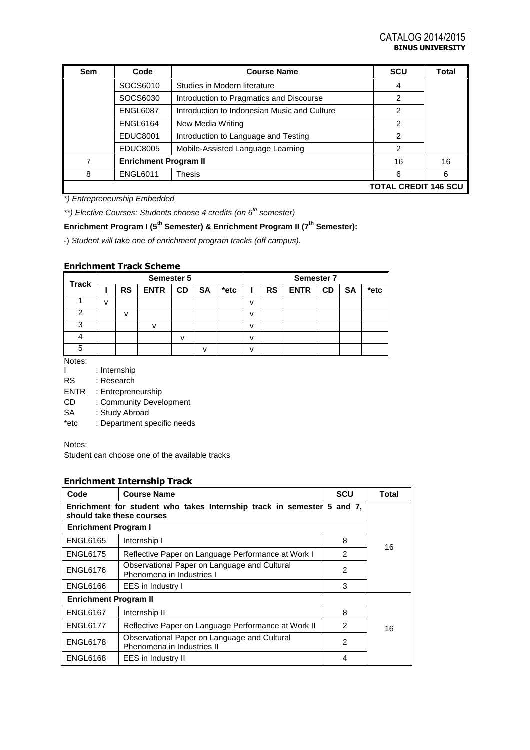| Sem | Code                                                            | <b>Course Name</b>                       | <b>SCU</b>     | <b>Total</b> |
|-----|-----------------------------------------------------------------|------------------------------------------|----------------|--------------|
|     | SOCS6010                                                        | Studies in Modern literature             | 4              |              |
|     | SOCS6030                                                        | Introduction to Pragmatics and Discourse | $\mathfrak{p}$ |              |
|     | Introduction to Indonesian Music and Culture<br><b>ENGL6087</b> |                                          | 2              |              |
|     | <b>ENGL6164</b><br>New Media Writing                            |                                          | 2              |              |
|     | <b>EDUC8001</b>                                                 | Introduction to Language and Testing     | 2              |              |
|     | <b>EDUC8005</b>                                                 | Mobile-Assisted Language Learning        | 2              |              |
| 7   | <b>Enrichment Program II</b>                                    | 16                                       | 16             |              |
| 8   | <b>ENGL6011</b>                                                 | <b>Thesis</b>                            | 6              | 6            |
|     | <b>TOTAL CREDIT 146 SCU</b>                                     |                                          |                |              |

*\*) Entrepreneurship Embedded*

*\*\*) Elective Courses: Students choose 4 credits (on 6th semester)*

# **Enrichment Program I (5th Semester) & Enrichment Program II (7th Semester):**

-) *Student will take one of enrichment program tracks (off campus).*

### **Enrichment Track Scheme**

| <b>Track</b> | <b>Semester 5</b> |           |             |              | <b>Semester 7</b> |      |               |           |             |           |           |      |
|--------------|-------------------|-----------|-------------|--------------|-------------------|------|---------------|-----------|-------------|-----------|-----------|------|
|              |                   | <b>RS</b> | <b>ENTR</b> | <b>CD</b>    | <b>SA</b>         | *etc |               | <b>RS</b> | <b>ENTR</b> | <b>CD</b> | <b>SA</b> | *etc |
|              | v                 |           |             |              |                   |      | $\mathcal{U}$ |           |             |           |           |      |
| ◠            |                   | v         |             |              |                   |      | v             |           |             |           |           |      |
| ົ            |                   |           |             |              |                   |      | $\mathcal{U}$ |           |             |           |           |      |
|              |                   |           |             | $\mathbf{v}$ |                   |      | v             |           |             |           |           |      |
| 5            |                   |           |             |              | v                 |      | $\mathbf{v}$  |           |             |           |           |      |

Notes:

I : Internship

- RS : Research
- ENTR : Entrepreneurship

CD : Community Development

SA : Study Abroad

\*etc : Department specific needs

Notes:

Student can choose one of the available tracks

### **Enrichment Internship Track**

| Code                                                                                                | <b>Course Name</b>                                                         | <b>SCU</b>     | <b>Total</b> |
|-----------------------------------------------------------------------------------------------------|----------------------------------------------------------------------------|----------------|--------------|
| Enrichment for student who takes Internship track in semester 5 and 7,<br>should take these courses |                                                                            |                |              |
| <b>Enrichment Program I</b>                                                                         |                                                                            |                |              |
| <b>ENGL6165</b>                                                                                     | Internship I                                                               | 8              | 16           |
| <b>ENGL6175</b>                                                                                     | Reflective Paper on Language Performance at Work I                         | $\mathfrak{p}$ |              |
| <b>ENGL6176</b>                                                                                     | Observational Paper on Language and Cultural<br>Phenomena in Industries I  |                |              |
| <b>ENGL6166</b>                                                                                     | <b>EES</b> in Industry I                                                   | 3              |              |
| <b>Enrichment Program II</b>                                                                        |                                                                            |                |              |
| <b>ENGL6167</b>                                                                                     | Internship II                                                              | 8              |              |
| <b>ENGL6177</b>                                                                                     | Reflective Paper on Language Performance at Work II                        | $\mathcal{P}$  | 16           |
| <b>ENGL6178</b>                                                                                     | Observational Paper on Language and Cultural<br>Phenomena in Industries II | $\overline{2}$ |              |
| <b>ENGL6168</b>                                                                                     | <b>EES</b> in Industry II                                                  | 4              |              |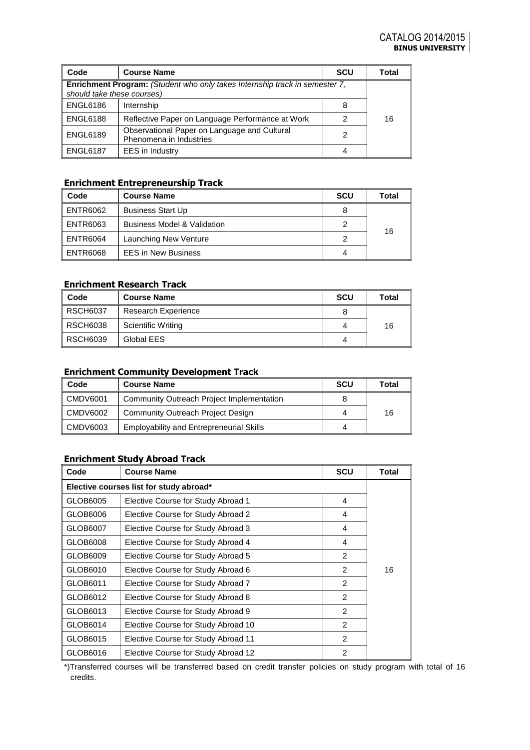| Code                                                                                                      | <b>Course Name</b>                                                      | <b>SCU</b> | Total |  |
|-----------------------------------------------------------------------------------------------------------|-------------------------------------------------------------------------|------------|-------|--|
| Enrichment Program: (Student who only takes Internship track in semester 7,<br>should take these courses) |                                                                         |            |       |  |
| <b>ENGL6186</b>                                                                                           | Internship                                                              | 8          |       |  |
| <b>ENGL6188</b>                                                                                           | Reflective Paper on Language Performance at Work                        |            | 16    |  |
| <b>ENGL6189</b>                                                                                           | Observational Paper on Language and Cultural<br>Phenomena in Industries | 2          |       |  |
| <b>ENGL6187</b>                                                                                           | EES in Industry                                                         | 4          |       |  |

## **Enrichment Entrepreneurship Track**

| Code       | <b>Course Name</b>                     | <b>SCU</b> | Total |
|------------|----------------------------------------|------------|-------|
| l ENTR6062 | <b>Business Start Up</b>               |            |       |
| l ENTR6063 | <b>Business Model &amp; Validation</b> | 2          |       |
| l ENTR6064 | Launching New Venture                  |            | 16    |
| I ENTR6068 | <b>EES in New Business</b>             | 4          |       |

## **Enrichment Research Track**

| Code            | <b>Course Name</b>         | <b>SCU</b> | <b>Total</b> |
|-----------------|----------------------------|------------|--------------|
| <b>RSCH6037</b> | <b>Research Experience</b> |            |              |
| <b>RSCH6038</b> | Scientific Writing         |            | 16           |
| <b>RSCH6039</b> | Global EES                 |            |              |

## **Enrichment Community Development Track**

| Code     | <b>Course Name</b>                              | <b>SCU</b> | Total |
|----------|-------------------------------------------------|------------|-------|
| CMDV6001 | Community Outreach Project Implementation       |            |       |
| CMDV6002 | Community Outreach Project Design               |            | 16    |
| CMDV6003 | <b>Employability and Entrepreneurial Skills</b> |            |       |

## **Enrichment Study Abroad Track**

| Code                                    | <b>Course Name</b>                  | <b>SCU</b>     | <b>Total</b> |  |
|-----------------------------------------|-------------------------------------|----------------|--------------|--|
| Elective courses list for study abroad* |                                     |                |              |  |
| GLOB6005                                | Elective Course for Study Abroad 1  | 4              |              |  |
| GLOB6006                                | Elective Course for Study Abroad 2  | 4              |              |  |
| GLOB6007                                | Elective Course for Study Abroad 3  | 4              |              |  |
| GLOB6008                                | Elective Course for Study Abroad 4  | 4              |              |  |
| GLOB6009                                | Elective Course for Study Abroad 5  | 2              |              |  |
| GLOB6010                                | Elective Course for Study Abroad 6  | $\overline{2}$ | 16           |  |
| GLOB6011                                | Elective Course for Study Abroad 7  | 2              |              |  |
| GLOB6012                                | Elective Course for Study Abroad 8  | 2              |              |  |
| GLOB6013                                | Elective Course for Study Abroad 9  | $\mathcal{P}$  |              |  |
| GLOB6014                                | Elective Course for Study Abroad 10 | 2              |              |  |
| GLOB6015                                | Elective Course for Study Abroad 11 | 2              |              |  |
| GLOB6016                                | Elective Course for Study Abroad 12 | 2              |              |  |

\*)Transferred courses will be transferred based on credit transfer policies on study program with total of 16 credits.